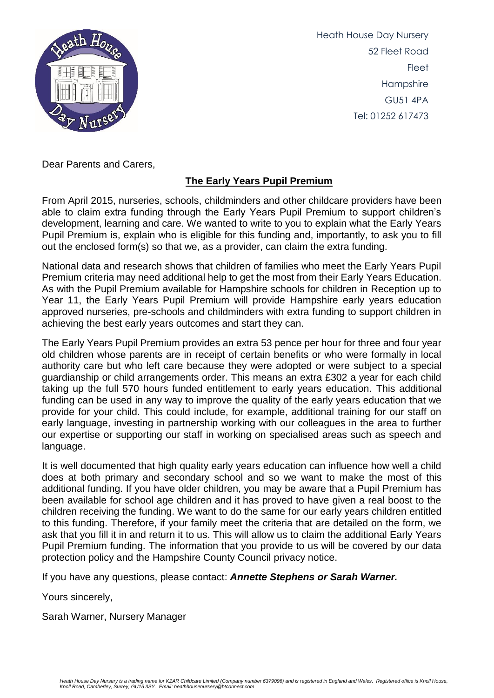

Heath House Day Nursery 52 Fleet Road **Fleet** Hampshire GU51 4PA Tel: 01252 617473

Dear Parents and Carers,

## **The Early Years Pupil Premium**

From April 2015, nurseries, schools, childminders and other childcare providers have been able to claim extra funding through the Early Years Pupil Premium to support children's development, learning and care. We wanted to write to you to explain what the Early Years Pupil Premium is, explain who is eligible for this funding and, importantly, to ask you to fill out the enclosed form(s) so that we, as a provider, can claim the extra funding.

National data and research shows that children of families who meet the Early Years Pupil Premium criteria may need additional help to get the most from their Early Years Education. As with the Pupil Premium available for Hampshire schools for children in Reception up to Year 11, the Early Years Pupil Premium will provide Hampshire early years education approved nurseries, pre-schools and childminders with extra funding to support children in achieving the best early years outcomes and start they can.

The Early Years Pupil Premium provides an extra 53 pence per hour for three and four year old children whose parents are in receipt of certain benefits or who were formally in local authority care but who left care because they were adopted or were subject to a special guardianship or child arrangements order. This means an extra £302 a year for each child taking up the full 570 hours funded entitlement to early years education. This additional funding can be used in any way to improve the quality of the early years education that we provide for your child. This could include, for example, additional training for our staff on early language, investing in partnership working with our colleagues in the area to further our expertise or supporting our staff in working on specialised areas such as speech and language.

It is well documented that high quality early years education can influence how well a child does at both primary and secondary school and so we want to make the most of this additional funding. If you have older children, you may be aware that a Pupil Premium has been available for school age children and it has proved to have given a real boost to the children receiving the funding. We want to do the same for our early years children entitled to this funding. Therefore, if your family meet the criteria that are detailed on the form, we ask that you fill it in and return it to us. This will allow us to claim the additional Early Years Pupil Premium funding. The information that you provide to us will be covered by our data protection policy and the Hampshire County Council [privacy notice.](file:///F:/Work%20in%20progress/EYPP/20150217hqnotes2yoeyppearlyyearscheckerwebsiteprivacynotice.pdf)

If you have any questions, please contact: *Annette Stephens or Sarah Warner.*

Yours sincerely,

Sarah Warner, Nursery Manager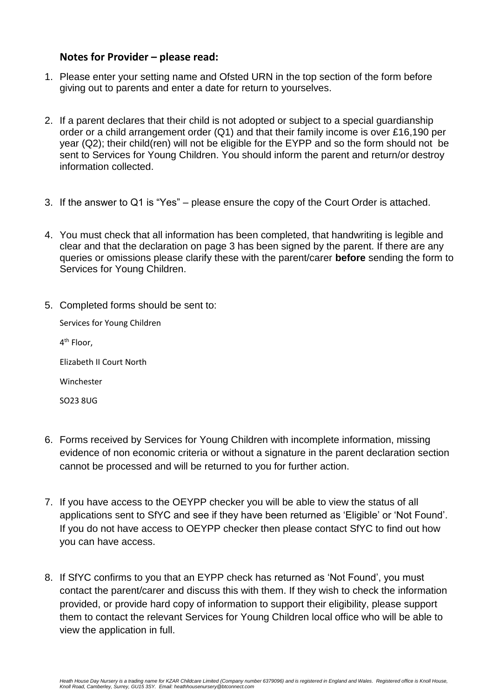### **Notes for Provider – please read:**

- 1. Please enter your setting name and Ofsted URN in the top section of the form before giving out to parents and enter a date for return to yourselves.
- 2. If a parent declares that their child is not adopted or subject to a special guardianship order or a child arrangement order (Q1) and that their family income is over £16,190 per year (Q2); their child(ren) will not be eligible for the EYPP and so the form should not be sent to Services for Young Children. You should inform the parent and return/or destroy information collected.
- 3. If the answer to Q1 is "Yes" please ensure the copy of the Court Order is attached.
- 4. You must check that all information has been completed, that handwriting is legible and clear and that the declaration on page 3 has been signed by the parent. If there are any queries or omissions please clarify these with the parent/carer **before** sending the form to Services for Young Children.
- 5. Completed forms should be sent to:

Services for Young Children 4<sup>th</sup> Floor, Elizabeth II Court North Winchester SO23 8UG

- 6. Forms received by Services for Young Children with incomplete information, missing evidence of non economic criteria or without a signature in the parent declaration section cannot be processed and will be returned to you for further action.
- 7. If you have access to the OEYPP checker you will be able to view the status of all applications sent to SfYC and see if they have been returned as 'Eligible' or 'Not Found'. If you do not have access to OEYPP checker then please contact SfYC to find out how you can have access.
- 8. If SfYC confirms to you that an EYPP check has returned as 'Not Found', you must contact the parent/carer and discuss this with them. If they wish to check the information provided, or provide hard copy of information to support their eligibility, please support them to contact the relevant Services for Young Children local office who will be able to view the application in full.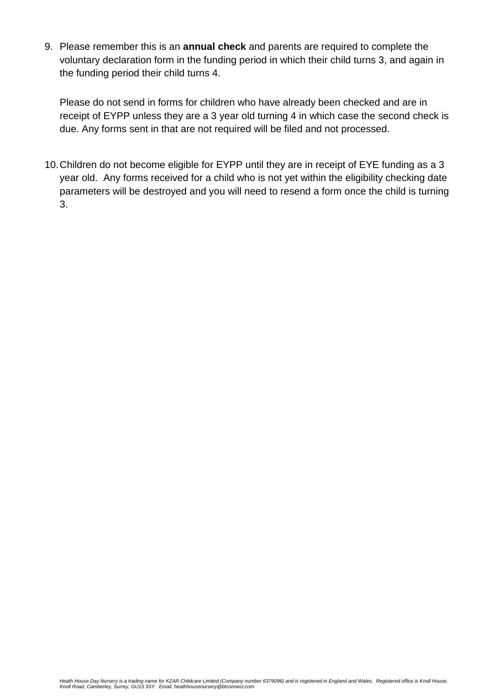9. Please remember this is an **annual check** and parents are required to complete the voluntary declaration form in the funding period in which their child turns 3, and again in the funding period their child turns 4.

Please do not send in forms for children who have already been checked and are in receipt of EYPP unless they are a 3 year old turning 4 in which case the second check is due. Any forms sent in that are not required will be filed and not processed.

10.Children do not become eligible for EYPP until they are in receipt of EYE funding as a 3 year old. Any forms received for a child who is not yet within the eligibility checking date parameters will be destroyed and you will need to resend a form once the child is turning 3.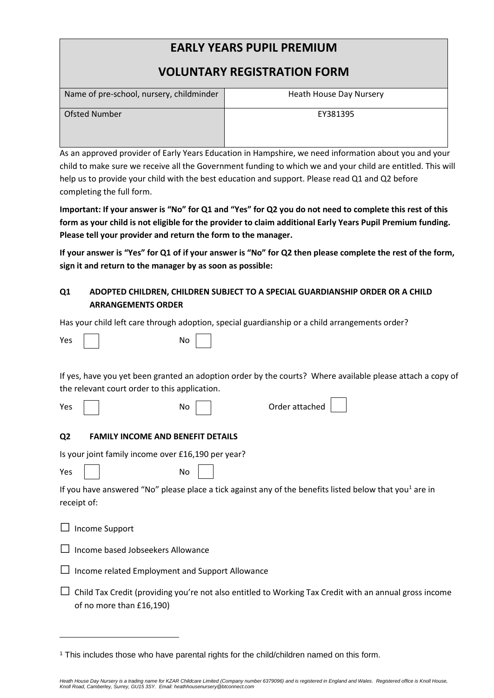# **EARLY YEARS PUPIL PREMIUM**

## **VOLUNTARY REGISTRATION FORM**

| Name of pre-school, nursery, childminder | Heath House Day Nursery |
|------------------------------------------|-------------------------|
| Ofsted Number                            | EY381395                |

As an approved provider of Early Years Education in Hampshire, we need information about you and your child to make sure we receive all the Government funding to which we and your child are entitled. This will help us to provide your child with the best education and support. Please read Q1 and Q2 before completing the full form.

**Important: If your answer is "No" for Q1 and "Yes" for Q2 you do not need to complete this rest of this form as your child is not eligible for the provider to claim additional Early Years Pupil Premium funding. Please tell your provider and return the form to the manager.** 

**If your answer is "Yes" for Q1 of if your answer is "No" for Q2 then please complete the rest of the form, sign it and return to the manager by as soon as possible:** 

#### **Q1 ADOPTED CHILDREN, CHILDREN SUBJECT TO A SPECIAL GUARDIANSHIP ORDER OR A CHILD ARRANGEMENTS ORDER**

Has your child left care through adoption, special guardianship or a child arrangements order?

| Yes |  |  | N٥ |
|-----|--|--|----|
|-----|--|--|----|

**.** 

If yes, have you yet been granted an adoption order by the courts? Where available please attach a copy of the relevant court order to this application.

> $\Gamma$  $\overline{\phantom{0}}$

| Yes         | No<br>Order attached                                                                                                               |
|-------------|------------------------------------------------------------------------------------------------------------------------------------|
| Q2          | <b>FAMILY INCOME AND BENEFIT DETAILS</b>                                                                                           |
|             | Is your joint family income over £16,190 per year?                                                                                 |
| Yes         | No                                                                                                                                 |
| receipt of: | If you have answered "No" please place a tick against any of the benefits listed below that you <sup>1</sup> are in                |
| ⊔           | Income Support                                                                                                                     |
| $\Box$      | Income based Jobseekers Allowance                                                                                                  |
| $\Box$      | Income related Employment and Support Allowance                                                                                    |
| ப           | Child Tax Credit (providing you're not also entitled to Working Tax Credit with an annual gross income<br>of no more than £16,190) |

<sup>1</sup> This includes those who have parental rights for the child/children named on this form.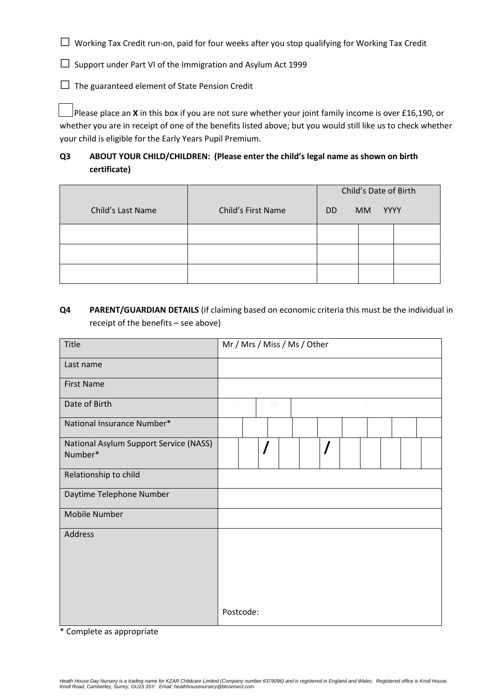□ Working Tax Credit run-on, paid for four weeks after you stop qualifying for Working Tax Credit

 $\square$  Support under Part VI of the Immigration and Asylum Act 1999

 $\Box$  The guaranteed element of State Pension Credit

 Please place an **X** in this box if you are not sure whether your joint family income is over £16,190, or whether you are in receipt of one of the benefits listed above; but you would still like us to check whether your child is eligible for the Early Years Pupil Premium.

### **Q3 ABOUT YOUR CHILD/CHILDREN: (Please enter the child's legal name as shown on birth certificate)**

|                   |                    | Child's Date of Birth    |  |  |  |
|-------------------|--------------------|--------------------------|--|--|--|
| Child's Last Name | Child's First Name | YYYY<br>MM.<br><b>DD</b> |  |  |  |
|                   |                    |                          |  |  |  |
|                   |                    |                          |  |  |  |
|                   |                    |                          |  |  |  |

### **Q4 PARENT/GUARDIAN DETAILS** (if claiming based on economic criteria this must be the individual in receipt of the benefits – see above)

| Title                                             | Mr / Mrs / Miss / Ms / Other |           |          |  |  |   |  |  |  |
|---------------------------------------------------|------------------------------|-----------|----------|--|--|---|--|--|--|
| Last name                                         |                              |           |          |  |  |   |  |  |  |
| <b>First Name</b>                                 |                              |           |          |  |  |   |  |  |  |
| Date of Birth                                     | D                            |           | M        |  |  |   |  |  |  |
| National Insurance Number*                        |                              |           |          |  |  |   |  |  |  |
| National Asylum Support Service (NASS)<br>Number* |                              |           | $\prime$ |  |  | / |  |  |  |
| Relationship to child                             |                              |           |          |  |  |   |  |  |  |
| Daytime Telephone Number                          |                              |           |          |  |  |   |  |  |  |
| <b>Mobile Number</b>                              |                              |           |          |  |  |   |  |  |  |
| Address                                           |                              |           |          |  |  |   |  |  |  |
|                                                   |                              | Postcode: |          |  |  |   |  |  |  |

\* Complete as appropriate